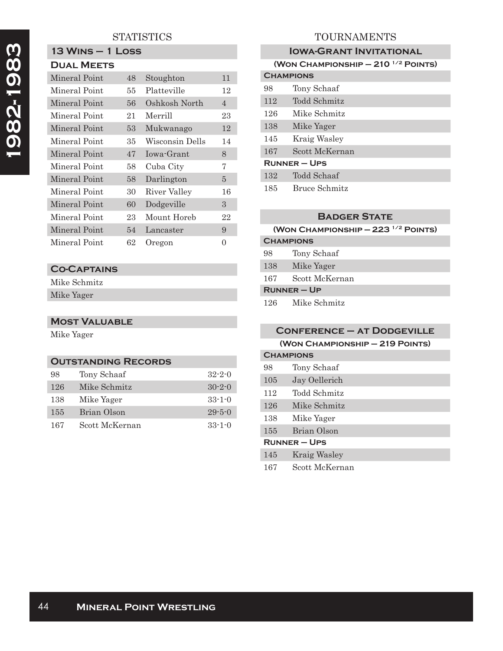## **STATISTICS**

# **13 Wins – 1 Loss Dual Meets**

| 48 | Stoughton       | 11             |
|----|-----------------|----------------|
| 55 | Platteville     | 12             |
| 56 | Oshkosh North   | $\overline{4}$ |
| 21 | Merrill         | 23             |
| 53 | Mukwanago       | 12             |
| 35 | Wisconsin Dells | 14             |
| 47 | Iowa-Grant      | 8              |
| 58 | Cuba City       | 7              |
| 58 | Darlington      | 5              |
| 30 | River Valley    | 16             |
| 60 | Dodgeville      | 3              |
| 23 | Mount Horeb     | 22             |
| 54 | Lancaster       | 9              |
| 62 | Oregon          | $\theta$       |
|    |                 |                |

## **Co-Captains**

Mike Schmitz Mike Yager

#### **Most Valuable**

Mike Yager

#### **Outstanding Records**

| 98  | Tony Schaaf    | $32 - 2 - 0$ |
|-----|----------------|--------------|
| 126 | Mike Schmitz   | $30 - 2 - 0$ |
| 138 | Mike Yager     | $33 - 1 - 0$ |
| 155 | Brian Olson    | $29 - 5 - 0$ |
| 167 | Scott McKernan | $33-1-0$     |

## TOURNAMENTS

### **IOWA-GRANT INVITATIONAL**

| (WON CHAMPIONSHIP $- 210$ <sup>1/2</sup> POINTS) |                |  |
|--------------------------------------------------|----------------|--|
| <b>CHAMPIONS</b>                                 |                |  |
| 98                                               | Tony Schaaf    |  |
| 112                                              | Todd Schmitz   |  |
| 126                                              | Mike Schmitz   |  |
| 138                                              | Mike Yager     |  |
| 145                                              | Kraig Wasley   |  |
| 167                                              | Scott McKernan |  |
| <b>RUNNER – UPS</b>                              |                |  |
| 132                                              | Todd Schaaf    |  |
| 185                                              | Bruce Schmitz  |  |

#### **Badger State**

### **(Won Championship — 223 1/2 Points)**

| <b>CHAMPIONS</b> |                |  |
|------------------|----------------|--|
| 98               | Tony Schaaf    |  |
| 138              | Mike Yager     |  |
| 167              | Scott McKernan |  |
| $R$ UNNER – UP   |                |  |
| 126              | Mike Schmitz   |  |

|                     | <b>CONFERENCE - AT DODGEVILLE</b> |  |  |
|---------------------|-----------------------------------|--|--|
|                     | (WON CHAMPIONSHIP - 219 POINTS)   |  |  |
|                     | <b>CHAMPIONS</b>                  |  |  |
| 98                  | Tony Schaaf                       |  |  |
| 105                 | Jay Oellerich                     |  |  |
| 112                 | Todd Schmitz                      |  |  |
| 126                 | Mike Schmitz                      |  |  |
| 138                 | Mike Yager                        |  |  |
| 155                 | Brian Olson                       |  |  |
| <b>RUNNER – UPS</b> |                                   |  |  |
| 145                 | <b>Kraig Wasley</b>               |  |  |

167 Scott McKernan